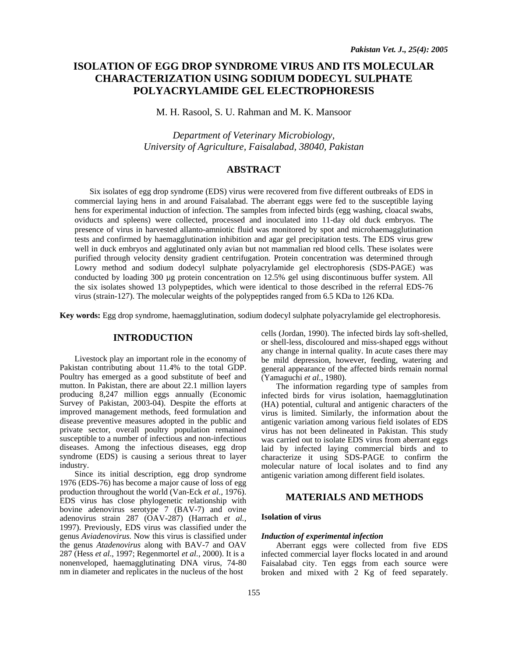# **ISOLATION OF EGG DROP SYNDROME VIRUS AND ITS MOLECULAR CHARACTERIZATION USING SODIUM DODECYL SULPHATE POLYACRYLAMIDE GEL ELECTROPHORESIS**

M. H. Rasool, S. U. Rahman and M. K. Mansoor

*Department of Veterinary Microbiology, University of Agriculture, Faisalabad, 38040, Pakistan* 

## **ABSTRACT**

Six isolates of egg drop syndrome (EDS) virus were recovered from five different outbreaks of EDS in commercial laying hens in and around Faisalabad. The aberrant eggs were fed to the susceptible laying hens for experimental induction of infection. The samples from infected birds (egg washing, cloacal swabs, oviducts and spleens) were collected, processed and inoculated into 11-day old duck embryos. The presence of virus in harvested allanto-amniotic fluid was monitored by spot and microhaemagglutination tests and confirmed by haemagglutination inhibition and agar gel precipitation tests. The EDS virus grew well in duck embryos and agglutinated only avian but not mammalian red blood cells. These isolates were purified through velocity density gradient centrifugation. Protein concentration was determined through Lowry method and sodium dodecyl sulphate polyacrylamide gel electrophoresis (SDS-PAGE) was conducted by loading 300 µg protein concentration on 12.5% gel using discontinuous buffer system. All the six isolates showed 13 polypeptides, which were identical to those described in the referral EDS-76 virus (strain-127). The molecular weights of the polypeptides ranged from 6.5 KDa to 126 KDa.

**Key words:** Egg drop syndrome, haemagglutination, sodium dodecyl sulphate polyacrylamide gel electrophoresis.

## **INTRODUCTION**

Livestock play an important role in the economy of Pakistan contributing about 11.4% to the total GDP. Poultry has emerged as a good substitute of beef and mutton. In Pakistan, there are about 22.1 million layers producing 8,247 million eggs annually (Economic Survey of Pakistan, 2003-04). Despite the efforts at improved management methods, feed formulation and disease preventive measures adopted in the public and private sector, overall poultry population remained susceptible to a number of infectious and non-infectious diseases. Among the infectious diseases, egg drop syndrome (EDS) is causing a serious threat to layer industry.

Since its initial description, egg drop syndrome 1976 (EDS-76) has become a major cause of loss of egg production throughout the world (Van-Eck *et al.,* 1976). EDS virus has close phylogenetic relationship with bovine adenovirus serotype 7 (BAV-7) and ovine adenovirus strain 287 (OAV-287) (Harrach *et al.,*  1997). Previously, EDS virus was classified under the genus *Aviadenovirus*. Now this virus is classified under the genus *Atadenovirus* along with BAV-7 and OAV 287 (Hess *et al*., 1997; Regenmortel *et al.,* 2000). It is a nonenveloped, haemagglutinating DNA virus, 74-80 nm in diameter and replicates in the nucleus of the host

cells (Jordan, 1990). The infected birds lay soft-shelled, or shell-less, discoloured and miss-shaped eggs without any change in internal quality. In acute cases there may be mild depression, however, feeding, watering and general appearance of the affected birds remain normal (Yamaguchi *et al.,* 1980).

The information regarding type of samples from infected birds for virus isolation, haemagglutination (HA) potential, cultural and antigenic characters of the virus is limited. Similarly, the information about the antigenic variation among various field isolates of EDS virus has not been delineated in Pakistan. This study was carried out to isolate EDS virus from aberrant eggs laid by infected laying commercial birds and to characterize it using SDS-PAGE to confirm the molecular nature of local isolates and to find any antigenic variation among different field isolates.

## **MATERIALS AND METHODS**

## **Isolation of virus**

## *Induction of experimental infection*

Aberrant eggs were collected from five EDS infected commercial layer flocks located in and around Faisalabad city. Ten eggs from each source were broken and mixed with 2 Kg of feed separately.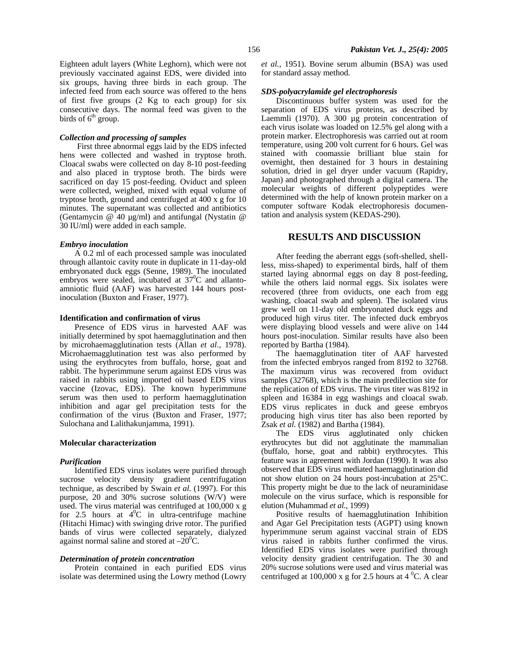Eighteen adult layers (White Leghorn), which were not previously vaccinated against EDS, were divided into six groups, having three birds in each group. The infected feed from each source was offered to the hens of first five groups (2 Kg to each group) for six consecutive days. The normal feed was given to the birds of  $6<sup>th</sup>$  group.

## *Collection and processing of samples*

First three abnormal eggs laid by the EDS infected hens were collected and washed in tryptose broth. Cloacal swabs were collected on day 8-10 post-feeding and also placed in tryptose broth. The birds were sacrificed on day 15 post-feeding. Oviduct and spleen were collected, weighed, mixed with equal volume of tryptose broth, ground and centrifuged at 400 x g for 10 minutes. The supernatant was collected and antibiotics (Gentamycin @ 40 µg/ml) and antifungal (Nystatin @ 30 IU/ml) were added in each sample.

#### *Embryo inoculation*

A 0.2 ml of each processed sample was inoculated through allantoic cavity route in duplicate in 11-day-old embryonated duck eggs (Senne, 1989). The inoculated embryos were sealed, incubated at  $37^{\circ}$ C and allantoamniotic fluid (AAF) was harvested 144 hours postinoculation (Buxton and Fraser, 1977).

#### **Identification and confirmation of virus**

Presence of EDS virus in harvested AAF was initially determined by spot haemagglutination and then by microhaemagglutination tests (Allan *et al.,* 1978). Microhaemagglutination test was also performed by using the erythrocytes from buffalo, horse, goat and rabbit. The hyperimmune serum against EDS virus was raised in rabbits using imported oil based EDS virus vaccine (Izovac, EDS). The known hyperimmune serum was then used to perform haemagglutination inhibition and agar gel precipitation tests for the confirmation of the virus (Buxton and Fraser, 1977; Sulochana and Lalithakunjamma, 1991).

## **Molecular characterization**

### *Purification*

Identified EDS virus isolates were purified through sucrose velocity density gradient centrifugation technique, as described by Swain *et al.* (1997). For this purpose, 20 and 30% sucrose solutions (W/V) were used. The virus material was centrifuged at 100,000 x g for 2.5 hours at  $4^{\circ}$ C in ultra-centrifuge machine (Hitachi Himac) with swinging drive rotor. The purified bands of virus were collected separately, dialyzed against normal saline and stored at  $-20^0C$ .

## *Determination of protein concentration*

Protein contained in each purified EDS virus isolate was determined using the Lowry method (Lowry *et al.,* 1951). Bovine serum albumin (BSA) was used for standard assay method.

### *SDS-polyacrylamide gel electrophoresis*

Discontinuous buffer system was used for the separation of EDS virus proteins, as described by Laemmli (1970). A 300 µg protein concentration of each virus isolate was loaded on 12.5% gel along with a protein marker. Electrophoresis was carried out at room temperature, using 200 volt current for 6 hours. Gel was stained with coomassie brilliant blue stain for overnight, then destained for 3 hours in destaining solution, dried in gel dryer under vacuum (Rapidry, Japan) and photographed through a digital camera. The molecular weights of different polypeptides were determined with the help of known protein marker on a computer software Kodak electrophoresis documentation and analysis system (KEDAS-290).

## **RESULTS AND DISCUSSION**

After feeding the aberrant eggs (soft-shelled, shellless, miss-shaped) to experimental birds, half of them started laying abnormal eggs on day 8 post-feeding, while the others laid normal eggs. Six isolates were recovered (three from oviducts, one each from egg washing, cloacal swab and spleen). The isolated virus grew well on 11-day old embryonated duck eggs and produced high virus titer. The infected duck embryos were displaying blood vessels and were alive on 144 hours post-inoculation. Similar results have also been reported by Bartha (1984).

The haemagglutination titer of AAF harvested from the infected embryos ranged from 8192 to 32768. The maximum virus was recovered from oviduct samples (32768), which is the main predilection site for the replication of EDS virus. The virus titer was 8192 in spleen and 16384 in egg washings and cloacal swab. EDS virus replicates in duck and geese embryos producing high virus titer has also been reported by Zsak *et al.* (1982) and Bartha (1984).

The EDS virus agglutinated only chicken erythrocytes but did not agglutinate the mammalian (buffalo, horse, goat and rabbit) erythrocytes. This feature was in agreement with Jordan (1990). It was also observed that EDS virus mediated haemagglutination did not show elution on 24 hours post-incubation at 25°C. This property might be due to the lack of neuraminidase molecule on the virus surface, which is responsible for elution (Muhammad *et al.,* 1999)

Positive results of haemagglutination Inhibition and Agar Gel Precipitation tests (AGPT) using known hyperimmune serum against vaccinal strain of EDS virus raised in rabbits further confirmed the virus. Identified EDS virus isolates were purified through velocity density gradient centrifugation. The 30 and 20% sucrose solutions were used and virus material was centrifuged at 100,000 x g for 2.5 hours at 4  $^0C$ . A clear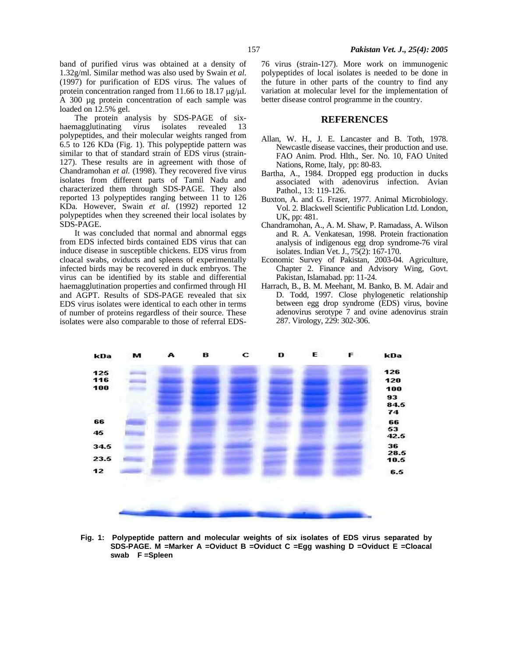band of purified virus was obtained at a density of 1.32g/ml. Similar method was also used by Swain *et al*. (1997) for purification of EDS virus. The values of protein concentration ranged from 11.66 to 18.17 µg/µl. A 300 µg protein concentration of each sample was loaded on 12.5% gel.

The protein analysis by SDS-PAGE of sixhaemagglutinating virus isolates revealed 13 polypeptides, and their molecular weights ranged from 6.5 to 126 KDa (Fig. 1). This polypeptide pattern was similar to that of standard strain of EDS virus (strain-127). These results are in agreement with those of Chandramohan *et al.* (1998). They recovered five virus isolates from different parts of Tamil Nadu and characterized them through SDS-PAGE. They also reported 13 polypeptides ranging between 11 to 126 KDa. However, Swain *et al.* (1992) reported 12 polypeptides when they screened their local isolates by SDS-PAGE.

It was concluded that normal and abnormal eggs from EDS infected birds contained EDS virus that can induce disease in susceptible chickens. EDS virus from cloacal swabs, oviducts and spleens of experimentally infected birds may be recovered in duck embryos. The virus can be identified by its stable and differential haemagglutination properties and confirmed through HI and AGPT. Results of SDS-PAGE revealed that six EDS virus isolates were identical to each other in terms of number of proteins regardless of their source. These isolates were also comparable to those of referral EDS-

76 virus (strain-127). More work on immunogenic polypeptides of local isolates is needed to be done in the future in other parts of the country to find any variation at molecular level for the implementation of better disease control programme in the country.

## **REFERENCES**

- Allan, W. H., J. E. Lancaster and B. Toth, 1978. Newcastle disease vaccines, their production and use. FAO Anim. Prod. Hlth., Ser. No. 10, FAO United Nations, Rome, Italy, pp: 80-83.
- Bartha, A., 1984. Dropped egg production in ducks associated with adenovirus infection. Avian Pathol., 13: 119-126.
- Buxton, A. and G. Fraser, 1977. Animal Microbiology. Vol. 2. Blackwell Scientific Publication Ltd. London, UK, pp: 481.
- Chandramohan, A., A. M. Shaw, P. Ramadass, A. Wilson and R. A. Venkatesan, 1998. Protein fractionation analysis of indigenous egg drop syndrome-76 viral isolates. Indian Vet. J., 75(2): 167-170.
- Economic Survey of Pakistan, 2003-04. Agriculture, Chapter 2. Finance and Advisory Wing, Govt. Pakistan, Islamabad. pp: 11-24.
- Harrach, B., B. M. Meehant, M. Banko, B. M. Adair and D. Todd, 1997. Close phylogenetic relationship between egg drop syndrome (EDS) virus, bovine adenovirus serotype 7 and ovine adenovirus strain 287. Virology, 229: 302-306.



**Fig. 1: Polypeptide pattern and molecular weights of six isolates of EDS virus separated by SDS-PAGE. M =Marker A =Oviduct B =Oviduct C =Egg washing D =Oviduct E =Cloacal swab F =Spleen**